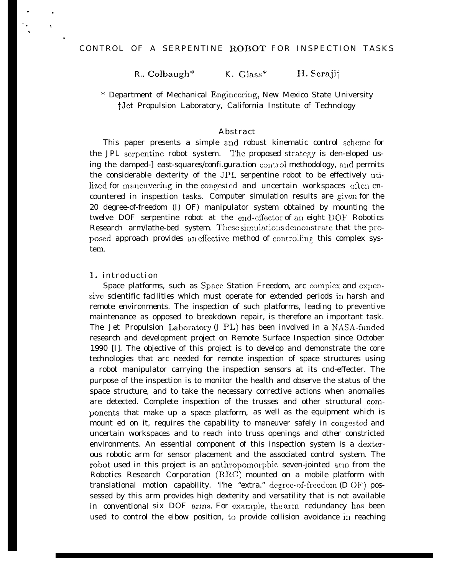# CONTROL OF A SERPENTINE ROBOT FOR INSPECTION TASKS

R.. Colbaugh\* K. Glass\* H. Seraji $\dagger$ 

\* Department of Mechanical Engineering, New Mexico State University tJct Propulsion Laboratory, California Institute of Technology

#### Abstract

This paper presents a simple and robust kinematic control scheme for the JPL serpentine robot system. The proposed strategy is den-eloped using the damped-] east-squares/confi.gura.tion control methodology, and permits the considerable dexterity of the JPL serpentine robot to be effectively utilized for maneuvering in the congested and uncertain workspaces often encountered in inspection tasks. Computer simulation results are given for the 20 degree-of-freedom (I) OF) manipulator system obtained by mounting the twelve DOF serpentine robot at the end-cffector of an eight DOF Robotics Research arm/lathe-bed system. These simulations demonstrate that the proposed approach provides an effective method of controlling this complex system.

### 1. introduction

.  $\mathcal{L}_{\rm{in}}$ .

.  $\ddot{\phantom{0}}$ 

.

Space platforms, such as Space Station Freedom, arc complex and expensive scientific facilities which must operate for extended periods in harsh and remote environments. The inspection of such platforms, leading to preventive maintenance as opposed to breakdown repair, is therefore an important task. The Jet Propulsion Laboratory (J PL) has been involved in a NASA-funded research and development project on Remote Surface Inspection since October 1990 [I]. The objective of this project is to develop and demonstrate the core technologies that arc needed for remote inspection of space structures using a robot manipulator carrying the inspection sensors at its cnd-effecter. The purpose of the inspection is to monitor the health and observe the status of the space structure, and to take the necessary corrective actions when anomalies are detected. Complete inspection of the trusses and other structural components that make up a space platform, as well as the equipment which is mount ed on it, requires the capability to maneuver safely in congested and uncertain workspaces and to reach into truss openings and other constricted environments. An essential component of this inspection system is a dextcrous robotic arm for sensor placement and the associated control system. The robot used in this project is an anthropomorphic seven-jointed arm from the Robotics Research Corporation  $(RRC)$  mounted on a mobile platform with translational motion capability. The "extra." degree-of-freedom  $(D \t{O}F)$  possessed by this arm provides high dexterity and versatility that is not available in conventional six DOF arms. For  $\mathrm{example},\ \mathrm{the}\ \mathrm{arm}\ \ \mathrm{redundancy}\ \mathrm{has}\ \mathrm{been}$ used to control the elbow position, to provide collision avoidance in reaching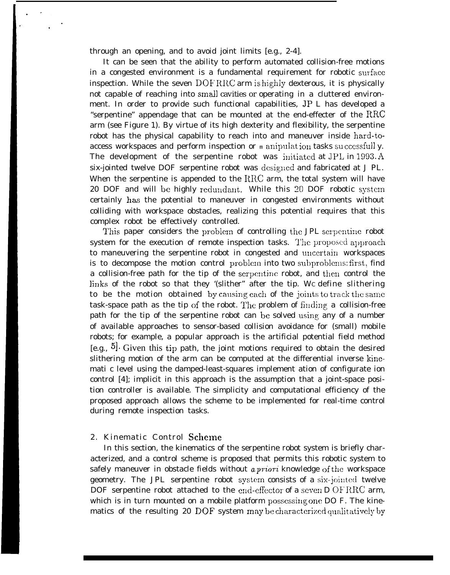through an opening, and to avoid joint limits [e.g., 2-4].

It can be seen that the ability to perform automated collision-free motions in a congested environment is a fundamental requirement for robotic surface inspection. While the seven  $DOFRRC$  arm is highly dexterous, it is physically not capable of reaching into *small* cavities or operating in a cluttered environment. In order to provide such functional capabilities, JP L has developed a "serpentine" appendage that can be mounted at the end-effecter of the  $RRC$ arm (see Figure 1). By virtue of its high dexterity and flexibility, the serpentine robot has the physical capability to reach into and maneuver inside hard-toaccess workspaces and perform inspection or m anipulat ion tasks su cccssfull y. The development of the serpentine robot was initiated at JPL in  $1993.A$ six-jointed twelve DOF serpentine robot was designed and fabricated at J PL. When the serpentine is appended to the  $RRC$  arm, the total system will have 20 DOF and will be highly redundant. While this 20 DOF robotic system certainly has the potential to maneuver in congested environments without colliding with workspace obstacles, realizing this potential requires that this complex robot be effectively controlled.

This paper considers the problem of controlling the JPL serpentine robot system for the execution of remote inspection tasks. The proposed approach to maneuvering the serpentine robot in congested and uuccrtain workspaces is to decompose the motion control problem into two subproblems: first, find a collision-free path for the tip of the serpentine robot, and then control the links of the robot so that they '(slither" after the tip. Wc define slithering to be the motion obtained by causing each of the joints to track the same task-space path as the tip of the robot. The problem of finding a collision-free path for the tip of the serpentine robot can be solved using any of a number of available approaches to sensor-based collision avoidance for (small) mobile robots; for example, a popular approach is the artificial potential field method [e.g.,  $5$ ]. Given this tip path, the joint motions required to obtain the desired slithering motion of the arm can be computed at the differential inverse kinemati c level using the damped-least-squares implement ation of configurate ion control [4]; implicit in this approach is the assumption that a joint-space position controller is available. The simplicity and computational efficiency of the proposed approach allows the scheme to be implemented for real-time control during remote inspection tasks.

### 2. Kinematic Control Scheme

In this section, the kinematics of the serpentine robot system is briefly characterized, and a control scheme is proposed that permits this robotic system to safely maneuver in obstacle fields without a priori knowledge of the workspace geometry. The JPL serpentine robot system consists of a six-jointed twelve DOF serpentine robot attached to the end-effector of a seven  $D$  OF RRC arm, which is in turn mounted on a mobile platform possessing one DO F. The kinematics of the resulting 20 DOF system may be characterized qualitatively by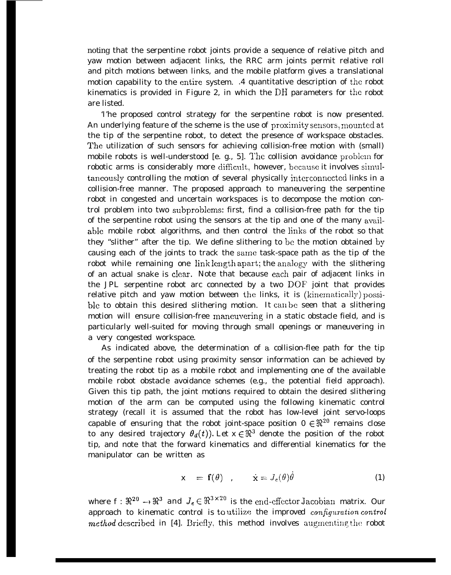noting that the serpentine robot joints provide a sequence of relative pitch and yaw motion between adjacent links, the RRC arm joints permit relative roll and pitch motions between links, and the mobile platform gives a translational motion capability to the entire system. .4 quantitative description of the robot kinematics is provided in Figure 2, in which the DH parameters for the robot are listed.

'I'he proposed control strategy for the serpentine robot is now presented. An underlying feature of the scheme is the use of proximity sensors, mounted at the tip of the serpentine robot, to detect the presence of workspace obstacles. The utilization of such sensors for achieving collision-free motion with (small) mobile robots is well-understood [e. g., 5]. The collision avoidance problem for robotic arms is considerably more difficult, however, because it involves simultaneously controlling the motion of several physically interconnected links in a collision-free manner. The proposed approach to maneuvering the serpentine robot in congested and uncertain workspaces is to decompose the motion control problem into two subproblcms: first, find a collision-free path for the tip of the serpentine robot using the sensors at the tip and one of the many  $a$ vailablc mobile robot algorithms, and then *control* the links of the robot so that they "slither" after the tip. We define slithering to bc the motion obtained by causing each of the joints to track the same task-space path as the tip of the robot while remaining one link length apart; the analogy with the slithering of an actual snake is clear. Note that because each pair of adjacent links in the JPL serpentine robot arc connected by a two DOF joint that provides relative pitch and yaw motion between the links, it is  $(kinematically)$  possible to obtain this desired slithering motion. It can be seen that a slithering motion will ensure collision-free maneuvering in a static obstacle field, and is particularly well-suited for moving through small openings or maneuvering in a very congested workspace.

As indicated above, the determination of a collision-flee path for the tip of the serpentine robot using proximity sensor information can be achieved by treating the robot tip as a mobile robot and implementing one of the available mobile robot obstacle avoidance schemes (e.g., the potential field approach). Given this tip path, the joint motions required to obtain the desired slithering motion of the arm can be computed using the following kinematic control strategy (recall it is assumed that the robot has low-level joint servo-loops capable of ensuring that the robot joint-space position  $0 \in \mathbb{R}^{20}$  remains close to any desired trajectory  $\theta_d(t)$ ). Let  $x \in \mathbb{R}^3$  denote the position of the robot tip, and note that the forward kinematics and differential kinematics for the manipulator can be written as

$$
\mathbf{x} = \mathbf{f}(\theta) , \qquad \dot{\mathbf{x}} = J_e(\theta)\dot{\theta} \tag{1}
$$

where  $f : \mathbb{R}^{20} \to \mathbb{R}^3$  and  $J_e \in \mathbb{R}^{3 \times 20}$  is the end-effector Jacobian matrix. Our approach to kinematic control is to utilize *the improved configuration control* method described in [4]. Briefly, this method involves augmenting the robot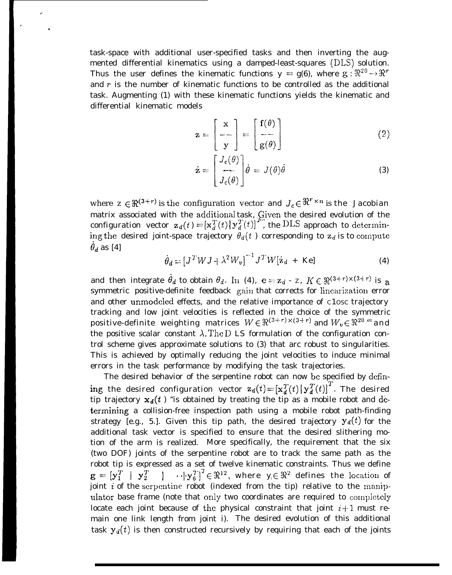task-space with additional user-specified tasks and then inverting the augmented differential kinematics using a damped-least-squares (DLS) solution. Thus the user defines the kinematic functions  $y = g(6)$ , where  $g: \mathbb{R}^{20} \to \mathbb{R}^{r}$ and  $r$  is the number of kinematic functions to be controlled as the additional task. Augmenting (1) with these kinematic functions yields the kinematic and differential kinematic models

.

.

$$
\mathbf{z} = \begin{bmatrix} \mathbf{x} \\ -\mathbf{-} \\ \mathbf{y} \end{bmatrix} = \begin{bmatrix} \mathbf{f}(\theta) \\ -\mathbf{-} \\ \mathbf{g}(\theta) \end{bmatrix} \tag{2}
$$

$$
\dot{\mathbf{z}} = \begin{bmatrix} J_e(\theta) \\ -I_c(\theta) \end{bmatrix} \dot{\theta} = J(\theta)\dot{\theta} \tag{3}
$$

where  $z \in \mathbb{R}^{(3+r)}$  is the configuration vector and  $J_c \in \mathbb{R}^{r \times n}$  is the Jacobian matrix associated with the additional task, Given the desired evolution of the configuration vector  $\mathbf{z}_d(t) = [\mathbf{x}_d^T(t) | \mathbf{y}_d^T(t)]^T$ , the DLS approach to determining the desired joint-space trajectory  $\theta_{d}(t)$  corresponding to  $z_{d}$  is to compute  $\theta_d$  as [4]

$$
\dot{\theta}_d = \left[J^T W J + \lambda^2 W_v\right]^{-1} J^T W \left[\dot{z}_d + Ke\right]
$$
 (4)

and then integrate  $\dot{\theta}_d$  to obtain  $\theta_d$ . In (4),  $e = z_d - z$ ,  $K \in \mathbb{R}^{(3+r)\times(3+r)}$  is a symmetric positive-definite feedback gain that corrects for linearization error and other unmodeled effects, and the relative importance of c1osc trajectory tracking and low joint velocities is reflected in the choice of the symmetric positive-definite weighting matrices  $W \in \mathbb{R}^{(3+r) \times (3+r)}$  and  $W_v \in \mathbb{R}^{20}$  <sup>20</sup> and the positive scalar constant  $\lambda$ . The D LS formulation of the configuration control scheme gives approximate solutions to (3) that arc robust to singularities. This is achieved by optimally reducing the joint velocities to induce minimal errors in the task performance by modifying the task trajectories.

The desired behavior of the serpentine robot can now bc specified by defining the desired configuration vector  $\mathbf{z}_d(t) = [\mathbf{x}_d^T(t) | \mathbf{y}_d^T(t)]^T$ . The desired tip trajectory  $x_d(t)$  "is obtained by treating the tip as a mobile robot and determining a collision-free inspection path using a mobile robot path-finding strategy [e.g., 5.]. Given this tip path, the desired trajectory  $y_d(t)$  for the additional task vector is specified to ensure that the desired slithering motion of the arm is realized. More specifically, the requirement that the six (two DOF) joints of the serpentine robot are to track the same path as the robot tip is expressed as a set of twelve kinematic constraints. Thus we define  $g = [y_1^T | y_2^T | \cdots | y_6^T]^T \in \mathbb{R}^{12}$ , where  $y_i \in \mathbb{R}^2$  defines the location of joint  $i$  of the scrpentine robot (indexed from the tip) relative to the manipulator base frame (note that only two coordinates are required to completely locate each joint because of the physical constraint that joint  $i+1$  must remain one link length from joint i). The desired evolution of this additional task  $y_d(t)$  is then constructed recursively by requiring that each of the joints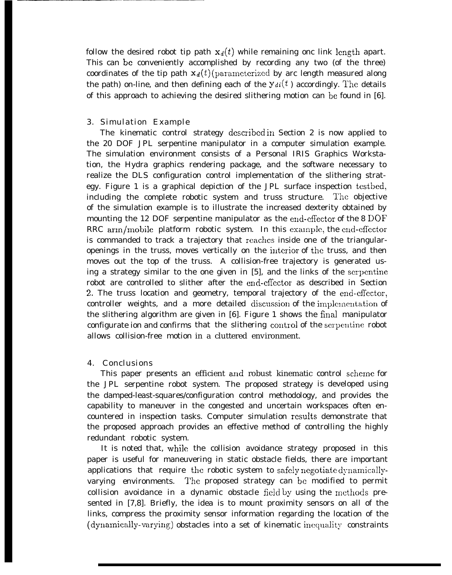follow the desired robot tip path  $x_d(t)$  while remaining onc link length apart. This can be conveniently accomplished by recording any two (of the three) coordinates of the tip path  $x_d(t)$  (parameterized by arc length measured along the path) on-line, and then defining each of the  $y_{di}(t)$  accordingly. The details of this approach to achieving the desired slithering motion can be found in  $[6]$ .

## 3. Simulation Example

The kinematic control strategy described in Section 2 is now applied to the 20 DOF JPL serpentine manipulator in a computer simulation example. The simulation environment consists of a Personal IRIS Graphics Workstation, the Hydra graphics rendering package, and the software necessary to realize the DLS configuration control implementation of the slithering strategy. Figure 1 is a graphical depiction of the JPL surface inspection testbed, including the complete robotic system and truss structure. The objective of the simulation example is to illustrate the increased dexterity obtained by mounting the 12 DOF serpentine manipulator as the end-cffector of the 8 DOF RRC arm/mobile platform robotic system. In this example, the end-effector is commanded to track a trajectory that reaches inside one of the triangularopenings in the truss, moves vertically on the interior of the truss, and then moves out the top of the truss. A collision-free trajectory is generated using a strategy similar to the one given in [5], and the links of the scrpcntinc robot are controlled to slither after the end-cfiector as described in Section 2. The truss location and geometry, temporal trajectory of the end-effector, controller weights, and a more detailed discussion of the implementation of the slithering algorithm are given in  $[6]$ . Figure 1 shows the final manipulator configurate ion and confirms that the slithering control of the serpentine robot allows collision-free motion in a cluttered environment.

#### 4. Conclusions

This paper presents an efficient and robust kinematic control schcrnc for the JPL serpentine robot system. The proposed strategy is developed using the damped-least-squares/configuration control methodology, and provides the capability to maneuver in the congested and uncertain workspaces often encountered in inspection tasks. Computer simulation results demonstrate that the proposed approach provides an effective method of controlling the highly redundant robotic system.

It is noted that, while the collision avoidance strategy proposed in this paper is useful for maneuvering in static obstacle fields, there are important applications that require the robotic system to safely negotiate dynamicallyvarying environments. The proposed strategy can be modified to permit collision avoidance in a dynamic obstacle field by using the methods presented in [7,8]. Briefly, the idea is to mount proximity sensors on all of the links, compress the proximity sensor information regarding the location of the  $(dynamically-varying)$  obstacles into a set of kinematic inequality constraints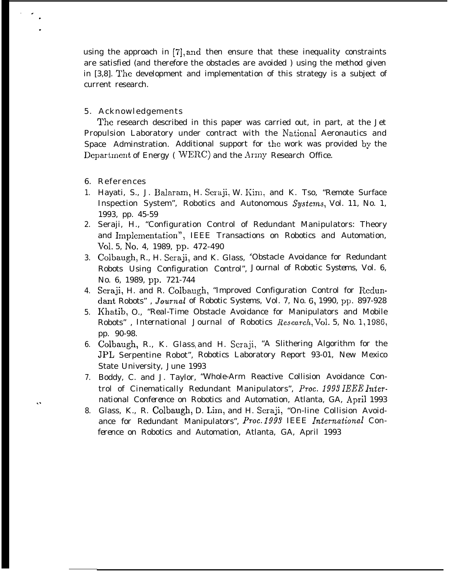using the approach in [7], and then ensure that these inequality constraints are satisfied (and therefore the obstacles are avoided ) using the method given in [3,8]. The development and implementation of this strategy is a subject of current research.

## 5. Acknowledgements

The research described in this paper was carried out, in part, at the Jet Propulsion Laboratory under contract with the National Aeronautics and Space Adminstration. Additional support for the work was provided by the Department of Energy (WERC) and the Army Research Office.

6. References

,.

. .

. .

- 1. Hayati, S., J. Balaram, H. Seraji, W. Kim, and K. Tso, "Remote Surface Inspection System", *Robotics and Autonomous \$ystems,* Vol. 11, No. 1, 1993, pp. 45-59
- 2. Seraji, H., "Configuration Control of Redundant Manipulators: Theory and Implementation", IEEE Transactions on Robotics and Automation, *Vol. 5, No. 4, 1989, pp. 472-490*
- 3. Colbaugh, R., H. Seraji, and K. Glass, ' (Obstacle Avoidance for Redundant Robots Using Configuration Control", *Journal of Robotic Systems,* Vol. 6, No. 6, 1989, pP. 721-744
- 4. Seraji, H. and R. Colbaugh, "Improved Configuration Control for Redundant Robots" , Journal *of Robotic Systems,* Vol. 7, No. 6, 1990, pp. 897-928
- 5. Khatib, O., "Real-Time Obstacle Avoidance for Manipulators and Mobile Robots", *International Journal of Robotics Research*, Vol. 5, No. 1, 1986, pp. 90-98.
- 6. Colbaugh, R., K. Glass<sub>l</sub>and H. Seraji, "A Slithering Algorithm for the JPL Serpentine Robot", Robotics Laboratory Report 93-01, New Mexico State University, June 1993
- 7. Boddy, C. and J. Taylor, "Whole-Arm Reactive Collision Avoidance Control of Cinematically Redundant Manipulators", *PTOC. 1999 IEEE InieTnational Conference on Robotics and Automation, Atlanta, GA, April 1993*
- 8. Glass, K., R. Colbaugh, D. Lim, and H. Seraji, "On-line Collision Avoidance for Redundant Manipulators", *Proc. 1993 IEEE lntemational Conference on Robotics and Automation,* Atlanta, GA, April 1993